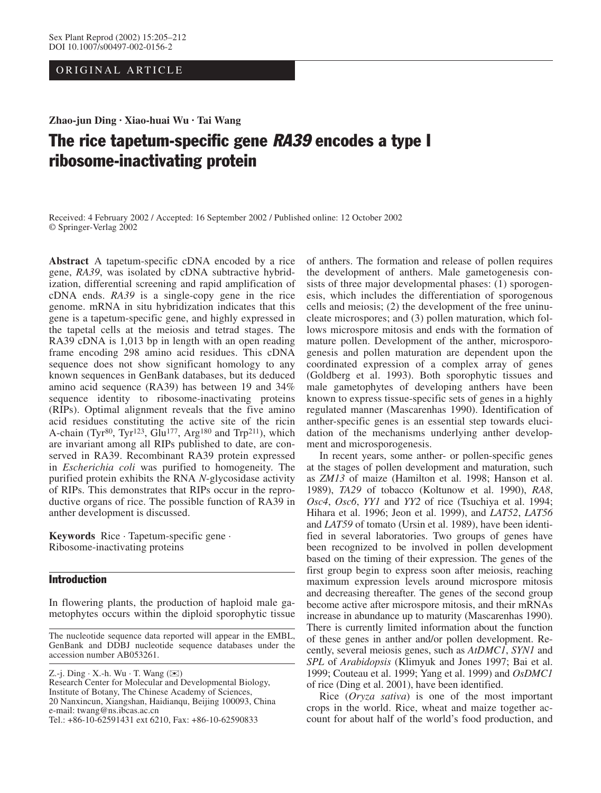ORIGINAL ARTICLE

**Zhao-jun Ding · Xiao-huai Wu · Tai Wang**

# The rice tapetum-specific gene RA39 encodes a type I ribosome-inactivating protein

Received: 4 February 2002 / Accepted: 16 September 2002 / Published online: 12 October 2002 © Springer-Verlag 2002

**Abstract** A tapetum-specific cDNA encoded by a rice gene, *RA39*, was isolated by cDNA subtractive hybridization, differential screening and rapid amplification of cDNA ends. *RA39* is a single-copy gene in the rice genome. mRNA in situ hybridization indicates that this gene is a tapetum-specific gene, and highly expressed in the tapetal cells at the meiosis and tetrad stages. The RA39 cDNA is 1,013 bp in length with an open reading frame encoding 298 amino acid residues. This cDNA sequence does not show significant homology to any known sequences in GenBank databases, but its deduced amino acid sequence (RA39) has between 19 and 34% sequence identity to ribosome-inactivating proteins (RIPs). Optimal alignment reveals that the five amino acid residues constituting the active site of the ricin A-chain (Tyr<sup>80</sup>, Tyr<sup>123</sup>, Glu<sup>177</sup>, Arg<sup>180</sup> and Trp<sup>211</sup>), which are invariant among all RIPs published to date, are conserved in RA39. Recombinant RA39 protein expressed in *Escherichia coli* was purified to homogeneity. The purified protein exhibits the RNA *N*-glycosidase activity of RIPs. This demonstrates that RIPs occur in the reproductive organs of rice. The possible function of RA39 in anther development is discussed.

**Keywords** Rice · Tapetum-specific gene · Ribosome-inactivating proteins

# Introduction

In flowering plants, the production of haploid male gametophytes occurs within the diploid sporophytic tissue

Z.-j. Ding  $\cdot$  X.-h. Wu  $\cdot$  T. Wang ( $\boxtimes$ )

Research Center for Molecular and Developmental Biology, Institute of Botany, The Chinese Academy of Sciences, 20 Nanxincun, Xiangshan, Haidianqu, Beijing 100093, China e-mail: twang@ns.ibcas.ac.cn Tel.: +86-10-62591431 ext 6210, Fax: +86-10-62590833

of anthers. The formation and release of pollen requires the development of anthers. Male gametogenesis consists of three major developmental phases: (1) sporogenesis, which includes the differentiation of sporogenous cells and meiosis; (2) the development of the free uninucleate microspores; and (3) pollen maturation, which follows microspore mitosis and ends with the formation of mature pollen. Development of the anther, microsporogenesis and pollen maturation are dependent upon the coordinated expression of a complex array of genes (Goldberg et al. 1993). Both sporophytic tissues and male gametophytes of developing anthers have been known to express tissue-specific sets of genes in a highly regulated manner (Mascarenhas 1990). Identification of anther-specific genes is an essential step towards elucidation of the mechanisms underlying anther development and microsporogenesis.

In recent years, some anther- or pollen-specific genes at the stages of pollen development and maturation, such as *ZM13* of maize (Hamilton et al. 1998; Hanson et al. 1989), *TA29* of tobacco (Koltunow et al. 1990), *RA8*, *Osc4*, *Osc6*, *YY1* and *YY2* of rice (Tsuchiya et al. 1994; Hihara et al. 1996; Jeon et al. 1999), and *LAT52*, *LAT56* and *LAT59* of tomato (Ursin et al. 1989), have been identified in several laboratories. Two groups of genes have been recognized to be involved in pollen development based on the timing of their expression. The genes of the first group begin to express soon after meiosis, reaching maximum expression levels around microspore mitosis and decreasing thereafter. The genes of the second group become active after microspore mitosis, and their mRNAs increase in abundance up to maturity (Mascarenhas 1990). There is currently limited information about the function of these genes in anther and/or pollen development. Recently, several meiosis genes, such as *AtDMC1*, *SYN1* and *SPL* of *Arabidopsis* (Klimyuk and Jones 1997; Bai et al. 1999; Couteau et al. 1999; Yang et al. 1999) and *OsDMC1* of rice (Ding et al. 2001), have been identified.

Rice (*Oryza sativa*) is one of the most important crops in the world. Rice, wheat and maize together account for about half of the world's food production, and

The nucleotide sequence data reported will appear in the EMBL, GenBank and DDBJ nucleotide sequence databases under the accession number AB053261.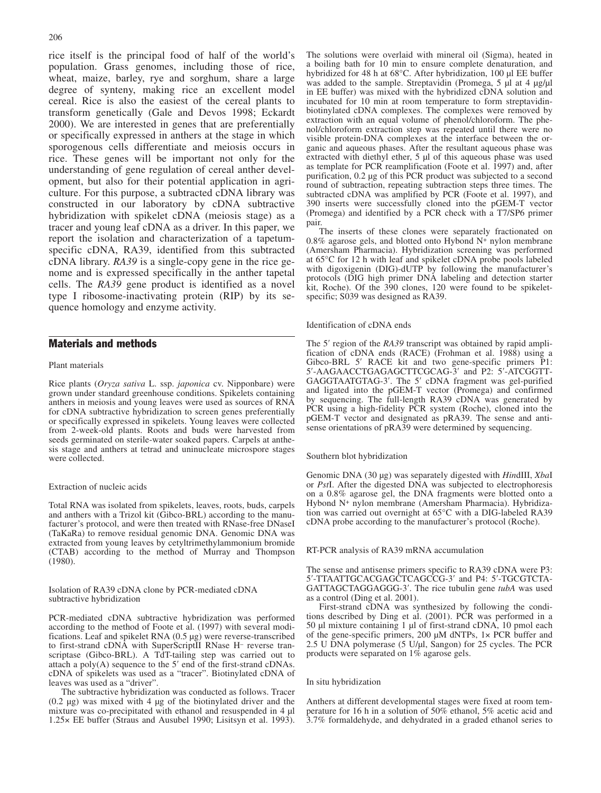rice itself is the principal food of half of the world's population. Grass genomes, including those of rice, wheat, maize, barley, rye and sorghum, share a large degree of synteny, making rice an excellent model cereal. Rice is also the easiest of the cereal plants to transform genetically (Gale and Devos 1998; Eckardt 2000). We are interested in genes that are preferentially or specifically expressed in anthers at the stage in which sporogenous cells differentiate and meiosis occurs in rice. These genes will be important not only for the understanding of gene regulation of cereal anther development, but also for their potential application in agriculture. For this purpose, a subtracted cDNA library was constructed in our laboratory by cDNA subtractive hybridization with spikelet cDNA (meiosis stage) as a tracer and young leaf cDNA as a driver. In this paper, we report the isolation and characterization of a tapetumspecific cDNA, RA39, identified from this subtracted cDNA library. *RA39* is a single-copy gene in the rice genome and is expressed specifically in the anther tapetal cells. The *RA39* gene product is identified as a novel type I ribosome-inactivating protein (RIP) by its sequence homology and enzyme activity.

# Materials and methods

## Plant materials

Rice plants (*Oryza sativa* L. ssp. *japonica* cv. Nipponbare) were grown under standard greenhouse conditions. Spikelets containing anthers in meiosis and young leaves were used as sources of RNA for cDNA subtractive hybridization to screen genes preferentially or specifically expressed in spikelets. Young leaves were collected from 2-week-old plants. Roots and buds were harvested from seeds germinated on sterile-water soaked papers. Carpels at anthesis stage and anthers at tetrad and uninucleate microspore stages were collected.

## Extraction of nucleic acids

Total RNA was isolated from spikelets, leaves, roots, buds, carpels and anthers with a Trizol kit (Gibco-BRL) according to the manufacturer's protocol, and were then treated with RNase-free DNaseI (TaKaRa) to remove residual genomic DNA. Genomic DNA was extracted from young leaves by cetyltrimethylammonium bromide (CTAB) according to the method of Murray and Thompson (1980).

Isolation of RA39 cDNA clone by PCR-mediated cDNA subtractive hybridization

PCR-mediated cDNA subtractive hybridization was performed according to the method of Foote et al. (1997) with several modifications. Leaf and spikelet RNA (0.5 µg) were reverse-transcribed to first-strand cDNA with SuperScriptII RNase H– reverse transcriptase (Gibco-BRL). A TdT-tailing step was carried out to attach a poly(A) sequence to the 5′ end of the first-strand cDNAs. cDNA of spikelets was used as a "tracer". Biotinylated cDNA of leaves was used as a "driver".

The subtractive hybridization was conducted as follows. Tracer (0.2 µg) was mixed with 4 µg of the biotinylated driver and the mixture was co-precipitated with ethanol and resuspended in 4 µl 1.25× EE buffer (Straus and Ausubel 1990; Lisitsyn et al. 1993). The solutions were overlaid with mineral oil (Sigma), heated in a boiling bath for 10 min to ensure complete denaturation, and hybridized for 48 h at 68°C. After hybridization, 100 µl EE buffer was added to the sample. Streptavidin (Promega, 5 µl at 4 µg/µl in EE buffer) was mixed with the hybridized cDNA solution and incubated for 10 min at room temperature to form streptavidinbiotinylated cDNA complexes. The complexes were removed by extraction with an equal volume of phenol/chloroform. The phenol/chloroform extraction step was repeated until there were no visible protein-DNA complexes at the interface between the organic and aqueous phases. After the resultant aqueous phase was extracted with diethyl ether, 5 µl of this aqueous phase was used as template for PCR reamplification (Foote et al. 1997) and, after purification, 0.2 µg of this PCR product was subjected to a second round of subtraction, repeating subtraction steps three times. The subtracted cDNA was amplified by PCR (Foote et al. 1997), and 390 inserts were successfully cloned into the pGEM-T vector (Promega) and identified by a PCR check with a T7/SP6 primer pair.

The inserts of these clones were separately fractionated on  $0.8\%$  agarose gels, and blotted onto Hybond N<sup>+</sup> nylon membrane (Amersham Pharmacia). Hybridization screening was performed at 65°C for 12 h with leaf and spikelet cDNA probe pools labeled with digoxigenin (DIG)-dUTP by following the manufacturer's protocols (DIG high primer DNA labeling and detection starter kit, Roche). Of the 390 clones, 120 were found to be spikeletspecific; S039 was designed as RA39.

Identification of cDNA ends

The 5' region of the *RA39* transcript was obtained by rapid amplification of cDNA ends (RACE) (Frohman et al. 1988) using a Gibco-BRL 5' RACE kit and two gene-specific primers P1: 5′-AAGAACCTGAGAGCTTCGCAG-3′ and P2: 5′-ATCGGTT-GAGGTAATGTAG-3′. The 5′ cDNA fragment was gel-purified and ligated into the pGEM-T vector (Promega) and confirmed by sequencing. The full-length RA39 cDNA was generated by PCR using a high-fidelity PCR system (Roche), cloned into the pGEM-T vector and designated as pRA39. The sense and antisense orientations of pRA39 were determined by sequencing.

Southern blot hybridization

Genomic DNA (30 µg) was separately digested with *Hin*dIII, *Xba*I or *Pst*I. After the digested DNA was subjected to electrophoresis on a 0.8% agarose gel, the DNA fragments were blotted onto a Hybond N+ nylon membrane (Amersham Pharmacia). Hybridization was carried out overnight at 65°C with a DIG-labeled RA39 cDNA probe according to the manufacturer's protocol (Roche).

RT-PCR analysis of RA39 mRNA accumulation

The sense and antisense primers specific to RA39 cDNA were P3: 5′-TTAATTGCACGAGCTCAGCCG-3′ and P4: 5′-TGCGTCTA-GATTAGCTAGGAGGG-3′. The rice tubulin gene *tubA* was used as a control (Ding et al. 2001).

First-strand cDNA was synthesized by following the conditions described by Ding et al. (2001). PCR was performed in a 50 µl mixture containing 1 µl of first-strand cDNA, 10 pmol each of the gene-specific primers, 200 µM dNTPs, 1× PCR buffer and 2.5 U DNA polymerase  $(5 \text{ U/}\mu\text{I}, \text{Sangon})$  for 25 cycles. The PCR products were separated on 1% agarose gels.

In situ hybridization

Anthers at different developmental stages were fixed at room temperature for 16 h in a solution of 50% ethanol, 5% acetic acid and 3.7% formaldehyde, and dehydrated in a graded ethanol series to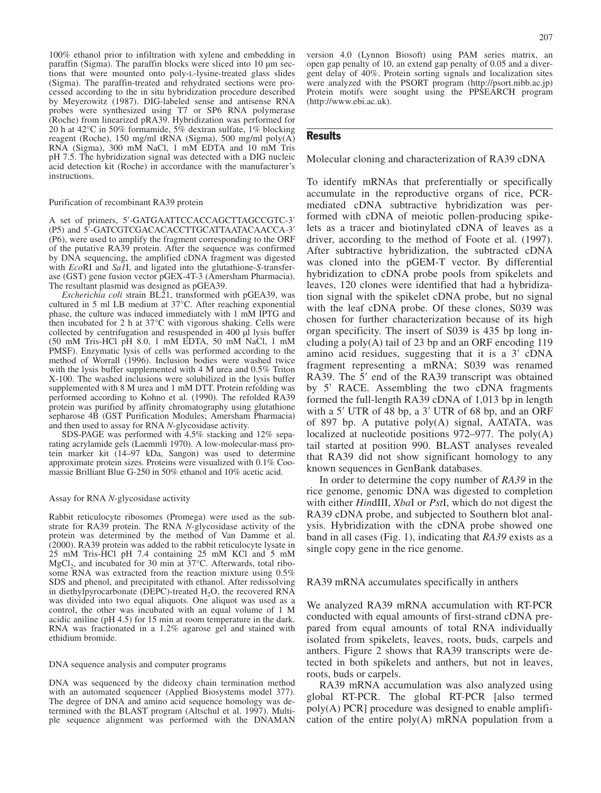100% ethanol prior to infiltration with xylene and embedding in paraffin (Sigma). The paraffin blocks were sliced into 10 µm sections that were mounted onto poly-L-lysine-treated glass slides (Sigma). The paraffin-treated and rehydrated sections were processed according to the in situ hybridization procedure described by Meyerowitz (1987). DIG-labeled sense and antisense RNA probes were synthesized using T7 or SP6 RNA polymerase (Roche) from linearized pRA39. Hybridization was performed for 20 h at 42°C in 50% formamide, 5% dextran sulfate, 1% blocking reagent (Roche), 150 mg/ml tRNA (Sigma), 500 mg/ml poly(A) RNA (Sigma), 300 mM NaCl, 1 mM EDTA and 10 mM Tris pH 7.5. The hybridization signal was detected with a DIG nucleic acid detection kit (Roche) in accordance with the manufacturer's instructions.

#### Purification of recombinant RA39 protein

A set of primers, 5′-GATGAATTCCACCAGCTTAGCCGTC-3′ (P5) and 5′-GATCGTCGACACACCTTGCATTAATACAACCA-3′ (P6), were used to amplify the fragment corresponding to the ORF of the putative RA39 protein. After the sequence was confirmed by DNA sequencing, the amplified cDNA fragment was digested with *Eco*RI and *Sa1*I, and ligated into the glutathione-*S*-transferase (GST) gene fusion vector pGEX-4T-3 (Amersham Pharmacia). The resultant plasmid was designed as pGEA39.

*Escherichia coli* strain BL21, transformed with pGEA39, was cultured in 5 ml LB medium at 37°C. After reaching exponential phase, the culture was induced immediately with 1 mM IPTG and then incubated for 2 h at 37°C with vigorous shaking. Cells were collected by centrifugation and resuspended in 400 µl lysis buffer (50 mM Tris-HCl pH 8.0, 1 mM EDTA, 50 mM NaCl, 1 mM PMSF). Enzymatic lysis of cells was performed according to the method of Worrall (1996). Inclusion bodies were washed twice with the lysis buffer supplemented with 4 M urea and 0.5% Triton X-100. The washed inclusions were solubilized in the lysis buffer supplemented with 8 M urea and 1 mM DTT. Protein refolding was performed according to Kohno et al. (1990). The refolded RA39 protein was purified by affinity chromatography using glutathione sepharose 4B (GST Purification Modules; Amersham Pharmacia) and then used to assay for RNA *N*-glycosidase activity.

SDS-PAGE was performed with 4.5% stacking and 12% separating acrylamide gels (Laemmli 1970). A low-molecular-mass protein marker kit (14–97 kDa, Sangon) was used to determine approximate protein sizes. Proteins were visualized with 0.1% Coomassie Brilliant Blue G-250 in 50% ethanol and 10% acetic acid.

#### Assay for RNA *N*-glycosidase activity

Rabbit reticulocyte ribosomes (Promega) were used as the substrate for RA39 protein. The RNA *N*-glycosidase activity of the protein was determined by the method of Van Damme et al. (2000). RA39 protein was added to the rabbit reticulocyte lysate in 25 mM Tris-HCl pH 7.4 containing 25 mM KCl and 5 mM  $MgCl<sub>2</sub>$ , and incubated for 30 min at 37 $^{\circ}$ C. Afterwards, total ribosome RNA was extracted from the reaction mixture using 0.5% SDS and phenol, and precipitated with ethanol. After redissolving in diethylpyrocarbonate (DEPC)-treated  $H<sub>2</sub>O$ , the recovered RNA was divided into two equal aliquots. One aliquot was used as a control, the other was incubated with an equal volume of 1 M acidic aniline (pH 4.5) for 15 min at room temperature in the dark. RNA was fractionated in a 1.2% agarose gel and stained with ethidium bromide.

#### DNA sequence analysis and computer programs

DNA was sequenced by the dideoxy chain termination method with an automated sequencer (Applied Biosystems model 377). The degree of DNA and amino acid sequence homology was determined with the BLAST program (Altschul et al. 1997). Multiple sequence alignment was performed with the DNAMAN version 4.0 (Lynnon Biosoft) using PAM series matrix, an open gap penalty of 10, an extend gap penalty of 0.05 and a divergent delay of 40%. Protein sorting signals and localization sites were analyzed with the PSORT program (http://psort.nibb.ac.jp) Protein motifs were sought using the PPSEARCH program (http://www.ebi.ac.uk).

# **Results**

Molecular cloning and characterization of RA39 cDNA

To identify mRNAs that preferentially or specifically accumulate in the reproductive organs of rice, PCRmediated cDNA subtractive hybridization was performed with cDNA of meiotic pollen-producing spikelets as a tracer and biotinylated cDNA of leaves as a driver, according to the method of Foote et al. (1997). After subtractive hybridization, the subtracted cDNA was cloned into the pGEM-T vector. By differential hybridization to cDNA probe pools from spikelets and leaves, 120 clones were identified that had a hybridization signal with the spikelet cDNA probe, but no signal with the leaf cDNA probe. Of these clones, S039 was chosen for further characterization because of its high organ specificity. The insert of S039 is 435 bp long including a poly $(A)$  tail of 23 bp and an ORF encoding 119 amino acid residues, suggesting that it is a 3′ cDNA fragment representing a mRNA; S039 was renamed RA39. The 5′ end of the RA39 transcript was obtained by 5′ RACE. Assembling the two cDNA fragments formed the full-length RA39 cDNA of 1,013 bp in length with a 5′ UTR of 48 bp, a 3′ UTR of 68 bp, and an ORF of 897 bp. A putative poly(A) signal, AATATA, was localized at nucleotide positions 972–977. The poly(A) tail started at position 990. BLAST analyses revealed that RA39 did not show significant homology to any known sequences in GenBank databases.

In order to determine the copy number of *RA39* in the rice genome, genomic DNA was digested to completion with either *Hin*dIII, *Xba*I or *Pst*I, which do not digest the RA39 cDNA probe, and subjected to Southern blot analysis. Hybridization with the cDNA probe showed one band in all cases (Fig. 1), indicating that *RA39* exists as a single copy gene in the rice genome.

## RA39 mRNA accumulates specifically in anthers

We analyzed RA39 mRNA accumulation with RT-PCR conducted with equal amounts of first-strand cDNA prepared from equal amounts of total RNA individually isolated from spikelets, leaves, roots, buds, carpels and anthers. Figure 2 shows that RA39 transcripts were detected in both spikelets and anthers, but not in leaves, roots, buds or carpels.

RA39 mRNA accumulation was also analyzed using global RT-PCR. The global RT-PCR [also termed poly(A) PCR] procedure was designed to enable amplification of the entire  $poly(A)$  mRNA population from a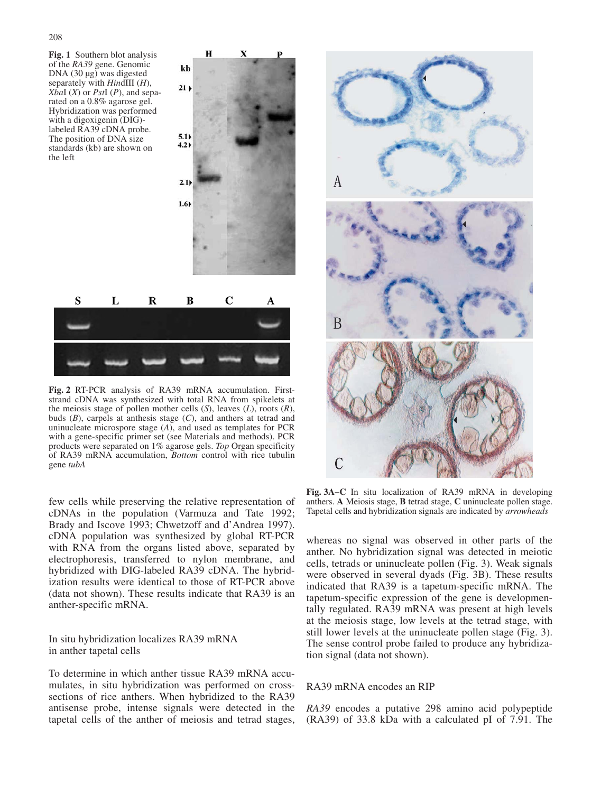**Fig. 1** Southern blot analysis of the *RA39* gene. Genomic DNA (30 µg) was digested separately with *Hin*dIII (*H*), *Xba*I (*X*) or *Pst*I (*P*), and separated on a 0.8% agarose gel. Hybridization was performed with a digoxigenin (DIG) labeled RA39 cDNA probe. The position of DNA size standards (kb) are shown on the left



 $\bf{H}$ 

kb

**Fig. 2** RT-PCR analysis of RA39 mRNA accumulation. Firststrand cDNA was synthesized with total RNA from spikelets at the meiosis stage of pollen mother cells (*S*), leaves (*L*), roots (*R*), buds (*B*), carpels at anthesis stage (*C*), and anthers at tetrad and uninucleate microspore stage (*A*), and used as templates for PCR with a gene-specific primer set (see Materials and methods). PCR products were separated on 1% agarose gels. *Top* Organ specificity of RA39 mRNA accumulation, *Bottom* control with rice tubulin gene *tubA*

few cells while preserving the relative representation of cDNAs in the population (Varmuza and Tate 1992; Brady and Iscove 1993; Chwetzoff and d'Andrea 1997). cDNA population was synthesized by global RT-PCR with RNA from the organs listed above, separated by electrophoresis, transferred to nylon membrane, and hybridized with DIG-labeled RA39 cDNA. The hybridization results were identical to those of RT-PCR above (data not shown). These results indicate that RA39 is an anther-specific mRNA.

In situ hybridization localizes RA39 mRNA in anther tapetal cells

To determine in which anther tissue RA39 mRNA accumulates, in situ hybridization was performed on crosssections of rice anthers. When hybridized to the RA39 antisense probe, intense signals were detected in the tapetal cells of the anther of meiosis and tetrad stages,



**Fig. 3A–C** In situ localization of RA39 mRNA in developing anthers. **A** Meiosis stage, **B** tetrad stage, **C** uninucleate pollen stage. Tapetal cells and hybridization signals are indicated by *arrowheads*

whereas no signal was observed in other parts of the anther. No hybridization signal was detected in meiotic cells, tetrads or uninucleate pollen (Fig. 3). Weak signals were observed in several dyads (Fig. 3B). These results indicated that RA39 is a tapetum-specific mRNA. The tapetum-specific expression of the gene is developmentally regulated. RA39 mRNA was present at high levels at the meiosis stage, low levels at the tetrad stage, with still lower levels at the uninucleate pollen stage (Fig. 3). The sense control probe failed to produce any hybridization signal (data not shown).

## RA39 mRNA encodes an RIP

*RA39* encodes a putative 298 amino acid polypeptide (RA39) of 33.8 kDa with a calculated pI of 7.91. The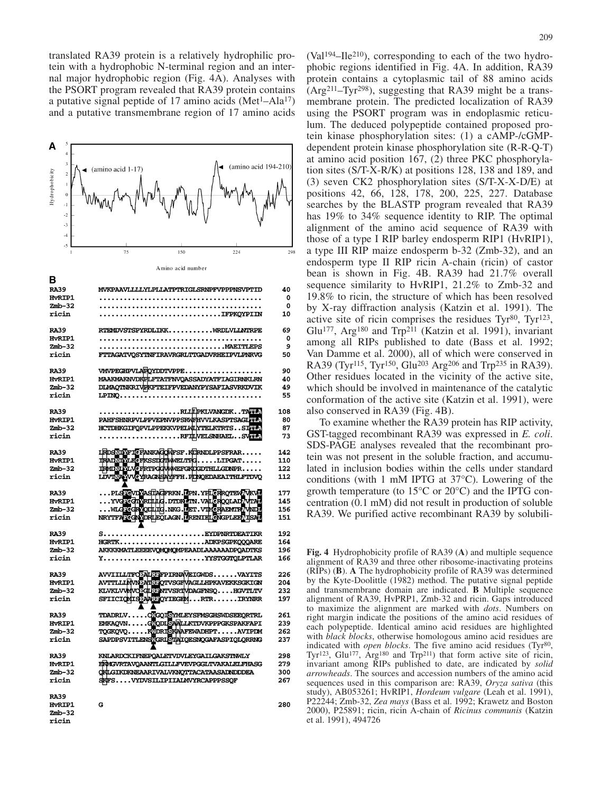translated RA39 protein is a relatively hydrophilic protein with a hydrophobic N-terminal region and an internal major hydrophobic region (Fig. 4A). Analyses with the PSORT program revealed that RA39 protein contains a putative signal peptide of 17 amino acids  $(Met<sup>1</sup>-Ala<sup>17</sup>)$ and a putative transmembrane region of 17 amino acids



MVKPAAVLLLVLPLLATPTRTGLSRNPFVPPPNSVPTTD

B

| <b>RA39</b>        | MVKPAAVLLLLYLPLLATPTRIGLSRNPFVPPPNSVPTID                                            | 40  |
|--------------------|-------------------------------------------------------------------------------------|-----|
| HvRTP1             |                                                                                     | 0   |
| $Zmb-32$           |                                                                                     | 0   |
| ricin              |                                                                                     | 10  |
|                    |                                                                                     |     |
| <b>RA39</b>        | RTEMDVSTSPYRDLIKKWRDLVLLNTRPE                                                       | 69  |
| HvRIP1             |                                                                                     | 0   |
| $Zmb-32$           |                                                                                     | 9   |
| ricin              | FTTAGATVOSYTNFIRAVRGRLTTGADVRHEIPVLPNRVG                                            | 50  |
|                    |                                                                                     |     |
| <b>RA39</b>        | VMVPEGHPVLAPOYDDTVPPE                                                               | 90  |
| HvRIP1             | <b>MAAKMAKNVDKFLFTATFNVQASSADYATFIAGIRNKLRN</b>                                     | 40  |
| $Zmb-32$           | <b>DLMAQTNKRIVEKFTEIFPVEDANYPYSAFIASVRKDVIK</b>                                     | 49  |
| ricin              |                                                                                     | 55  |
|                    |                                                                                     |     |
| <b>RA39</b>        | RLLEPKLVANGDKTAWMA                                                                  | 108 |
| <b>HVRIP1</b>      | PAHFSHNRPVLPPVEPNVPPSRWFHVVLKASPTSAGLFFF                                            | 80  |
| $Zmb-32$           | HCTDHKGIFQPVLPPEKKVPELMLYTELKTRTSSIWM                                               | 87  |
| ricin              | RFILVELSNHAELSVHLP                                                                  | 73  |
|                    |                                                                                     |     |
| <b>RA39</b>        | LRDSNIFICFANKAGOWFSF.KDRNDLPPSFRAR                                                  | 142 |
| <b>HvRIP1</b>      | TRADNINI FEFKSSIGIMMELTFGLIPGAT                                                     | 110 |
| $Zmb-32$           | THMONEU.VEFRTPGGVWEFGKDGDTHLLGDNPR                                                  | 122 |
| ricin              | LDVINAUVCYRAGNSAVFFH.FDNQEDAEAITHLFTDVQ                                             | 112 |
|                    |                                                                                     |     |
| <b>RA39</b>        | PLSTOVDZASTAGFRKN.DPN.YFLGRRQTEWTVKVD<br>YVGTCGLYRDLIG.DTDKUTN.VALGRQQLADTVTAU      | 177 |
| HvRIP1             |                                                                                     | 145 |
| $Zmb-32$           | WLG CGRYOTHIG. NKG. LET. VTMCRAEWITE WND.                                           | 156 |
| ricin              | NRYTFATCGNORLEOLAGN.LRENIELGNGPLEELISAL                                             | 151 |
|                    |                                                                                     |     |
| <b>RA39</b>        | $S\ldots\ldots\ldots\ldots\ldots\ldots\ldots\ldots\ldots$ . EYDPNRTDEATIKR          | 192 |
| HvRIP1             | HGRTKADKPSGPKQQQARE                                                                 | 164 |
| $Zmb-32$           | AKKKKMATLEEEEVQMQMQMPEAADLAAAAAADPQADTKS                                            | 196 |
| ricin              | YYYSTGGTQLPTLAR                                                                     | 166 |
|                    |                                                                                     |     |
| <b>RA39</b>        | AVVIILLTFO <sup>5</sup> ALREPIRNAVEIGWDSVAYITS                                      | 226 |
| HvRIP1             | AVTTLLLMVNDATREQTVSGFVAGLLHPKAVEKKSGKIGN                                            | 204 |
| $Zmb-32$           | KLVKLVVVVOEGLRENTVSRTVDAGFNSQHGVTLTV                                                | 232 |
| ricin              | SFIICIONIS AARROYIEGEMRTRIRYNRR                                                     | 197 |
|                    |                                                                                     |     |
| <b>RA39</b>        | TDADRLVCOCOLSYMLEYSFMSGHSWDSEEORTRL                                                 | 261 |
| <b>HVRIP1</b>      |                                                                                     | 239 |
| $Zmb-32$           | EMKAQVNG <mark>YODLSAALLKTDVKPPPGKSPAKFAPI</mark><br>TQGKQVQKYDRISKAAFEWADHPTAVIPDM | 262 |
| ricin              | SAPDPSVITLENSMGRISTAIQESNQGAFASPIQLQRRNG                                            | 237 |
|                    |                                                                                     |     |
| <b>RA39</b>        | KNLARDCKIFNEPOALETVDVLEYGAILGAKSTNWLY                                               | 298 |
| H <sub>vRIP1</sub> | EKWGVRTAVOAANTLGILLFVEVPGGLTVAKALELFHASG                                            | 279 |
| $Zmb-32$           | <b>CKLGIKDKNEAARIVALVKNOTTACATAASADNDDDEA</b>                                       | 300 |
| ricin              | <b>SKFSVYDVSILIPIIALMVYRCAPPPSSQF</b>                                               | 267 |
|                    |                                                                                     |     |
| <b>RA39</b>        |                                                                                     |     |
| HvRIP1             | G                                                                                   | 280 |
| $Zmb-32$           |                                                                                     |     |
| ricin              |                                                                                     |     |

phobic regions identified in Fig. 4A. In addition, RA39 protein contains a cytoplasmic tail of 88 amino acids (Arg211–Tyr298), suggesting that RA39 might be a transmembrane protein. The predicted localization of RA39 using the PSORT program was in endoplasmic reticulum. The deduced polypeptide contained proposed protein kinase phosphorylation sites: (1) a cAMP-/cGMPdependent protein kinase phosphorylation site (R-R-Q-T) at amino acid position 167, (2) three PKC phosphorylation sites (S/T-X-R/K) at positions 128, 138 and 189, and (3) seven CK2 phosphorylation sites (S/T-X-X-D/E) at positions 42, 66, 128, 178, 200, 225, 227. Database searches by the BLASTP program revealed that RA39 has 19% to 34% sequence identity to RIP. The optimal alignment of the amino acid sequence of RA39 with those of a type I RIP barley endosperm RIP1 (HvRIP1), a type III RIP maize endosperm b-32 (Zmb-32), and an endosperm type II RIP ricin A-chain (ricin) of castor bean is shown in Fig. 4B. RA39 had 21.7% overall sequence similarity to HvRIP1, 21.2% to Zmb-32 and 19.8% to ricin, the structure of which has been resolved by X-ray diffraction analysis (Katzin et al. 1991). The active site of ricin comprises the residues  $Tyr^{80}$ ,  $Tyr^{123}$ , Glu<sup>177</sup>, Arg<sup>180</sup> and Trp<sup>211</sup> (Katzin et al. 1991), invariant among all RIPs published to date (Bass et al. 1992; Van Damme et al. 2000), all of which were conserved in RA39 (Tyr115, Tyr150, Glu203 Arg206 and Trp235 in RA39). Other residues located in the vicinity of the active site, which should be involved in maintenance of the catalytic conformation of the active site (Katzin et al. 1991), were also conserved in RA39 (Fig. 4B).

 $(Va1<sup>194</sup>-Ile<sup>210</sup>)$ , corresponding to each of the two hydro-

To examine whether the RA39 protein has RIP activity, GST-tagged recombinant RA39 was expressed in *E. coli*. SDS-PAGE analyses revealed that the recombinant protein was not present in the soluble fraction, and accumulated in inclusion bodies within the cells under standard conditions (with 1 mM IPTG at 37°C). Lowering of the growth temperature (to 15°C or 20°C) and the IPTG concentration (0.1 mM) did not result in production of soluble RA39. We purified active recombinant RA39 by solubili-

**Fig. 4** Hydrophobicity profile of RA39 (**A**) and multiple sequence alignment of RA39 and three other ribosome-inactivating proteins (RIPs) (**B**). **A** The hydrophobicity profile of RA39 was determined by the Kyte-Doolittle (1982) method. The putative signal peptide and transmembrane domain are indicated. **B** Multiple sequence alignment of RA39, HvPRP1, Zmb-32 and ricin. Gaps introduced to maximize the alignment are marked with *dots*. Numbers on right margin indicate the positions of the amino acid residues of each polypeptide. Identical amino acid residues are highlighted with *black blocks*, otherwise homologous amino acid residues are indicated with *open blocks*. The five amino acid residues (Tyr<sup>80</sup>, Tyr<sup>123</sup>, Glu<sup>177</sup>, Arg<sup>180</sup> and Trp<sup>211</sup>) that form active site of ricin, invariant among RIPs published to date, are indicated by *solid arrowheads*. The sources and accession numbers of the amino acid sequences used in this comparison are: RA39, *Oryza sativa* (this study), AB053261; HvRIP1, *Hordeum vulgare* (Leah et al. 1991), P22244; Zmb-32, *Zea mays* (Bass et al. 1992; Krawetz and Boston 2000), P25891; ricin, ricin A-chain of *Ricinus communis* (Katzin et al. 1991), 494726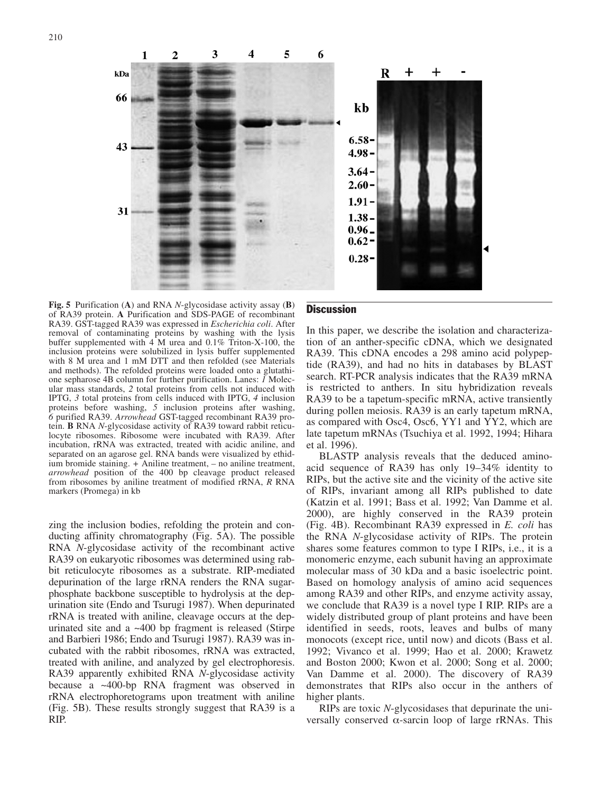

**Fig. 5** Purification (**A**) and RNA *N*-glycosidase activity assay (**B**) of RA39 protein. **A** Purification and SDS-PAGE of recombinant RA39. GST-tagged RA39 was expressed in *Escherichia coli*. After removal of contaminating proteins by washing with the lysis buffer supplemented with 4 M urea and 0.1% Triton-X-100, the inclusion proteins were solubilized in lysis buffer supplemented with 8 M urea and 1 mM DTT and then refolded (see Materials and methods). The refolded proteins were loaded onto a glutathione sepharose 4B column for further purification. Lanes: *1* Molecular mass standards, *2* total proteins from cells not induced with IPTG, *3* total proteins from cells induced with IPTG, *4* inclusion proteins before washing, *5* inclusion proteins after washing, *6* purified RA39. *Arrowhead* GST-tagged recombinant RA39 protein. **B** RNA *N*-glycosidase activity of RA39 toward rabbit reticulocyte ribosomes. Ribosome were incubated with RA39. After incubation, rRNA was extracted, treated with acidic aniline, and separated on an agarose gel. RNA bands were visualized by ethidium bromide staining. *+* Aniline treatment, *–* no aniline treatment, *arrowhead* position of the 400 bp cleavage product released from ribosomes by aniline treatment of modified rRNA, *R* RNA markers (Promega) in kb

zing the inclusion bodies, refolding the protein and conducting affinity chromatography (Fig. 5A). The possible RNA *N*-glycosidase activity of the recombinant active RA39 on eukaryotic ribosomes was determined using rabbit reticulocyte ribosomes as a substrate. RIP-mediated depurination of the large rRNA renders the RNA sugarphosphate backbone susceptible to hydrolysis at the depurination site (Endo and Tsurugi 1987). When depurinated rRNA is treated with aniline, cleavage occurs at the depurinated site and a ~400 bp fragment is released (Stirpe and Barbieri 1986; Endo and Tsurugi 1987). RA39 was incubated with the rabbit ribosomes, rRNA was extracted, treated with aniline, and analyzed by gel electrophoresis. RA39 apparently exhibited RNA *N*-glycosidase activity because a ~400-bp RNA fragment was observed in rRNA electrophoretograms upon treatment with aniline (Fig. 5B). These results strongly suggest that RA39 is a RIP.

# **Discussion**

In this paper, we describe the isolation and characterization of an anther-specific cDNA, which we designated RA39. This cDNA encodes a 298 amino acid polypeptide (RA39), and had no hits in databases by BLAST search. RT-PCR analysis indicates that the RA39 mRNA is restricted to anthers. In situ hybridization reveals RA39 to be a tapetum-specific mRNA, active transiently during pollen meiosis. RA39 is an early tapetum mRNA, as compared with Osc4, Osc6, YY1 and YY2, which are late tapetum mRNAs (Tsuchiya et al. 1992, 1994; Hihara et al. 1996).

BLASTP analysis reveals that the deduced aminoacid sequence of RA39 has only 19–34% identity to RIPs, but the active site and the vicinity of the active site of RIPs, invariant among all RIPs published to date (Katzin et al. 1991; Bass et al. 1992; Van Damme et al. 2000), are highly conserved in the RA39 protein (Fig. 4B). Recombinant RA39 expressed in *E. coli* has the RNA *N*-glycosidase activity of RIPs. The protein shares some features common to type I RIPs, i.e., it is a monomeric enzyme, each subunit having an approximate molecular mass of 30 kDa and a basic isoelectric point. Based on homology analysis of amino acid sequences among RA39 and other RIPs, and enzyme activity assay, we conclude that RA39 is a novel type I RIP. RIPs are a widely distributed group of plant proteins and have been identified in seeds, roots, leaves and bulbs of many monocots (except rice, until now) and dicots (Bass et al. 1992; Vivanco et al. 1999; Hao et al. 2000; Krawetz and Boston 2000; Kwon et al. 2000; Song et al. 2000; Van Damme et al. 2000). The discovery of RA39 demonstrates that RIPs also occur in the anthers of higher plants.

RIPs are toxic *N*-glycosidases that depurinate the universally conserved α-sarcin loop of large rRNAs. This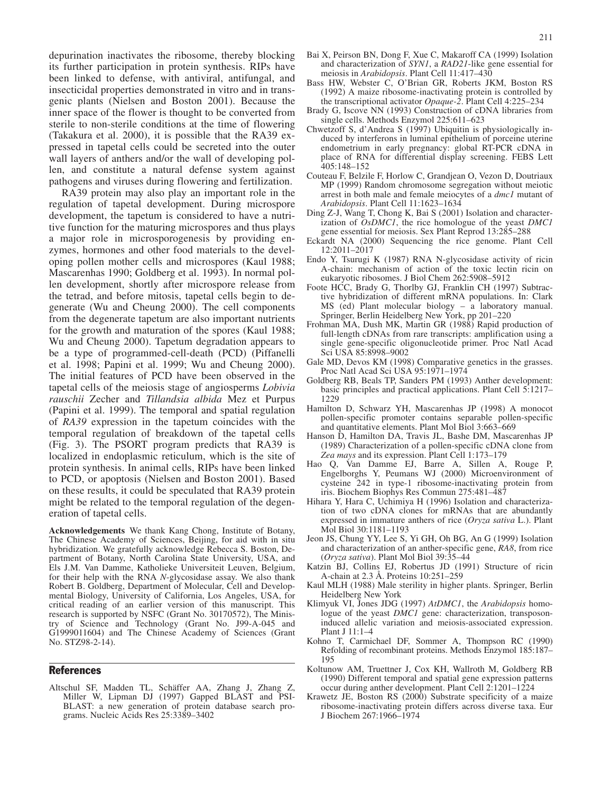depurination inactivates the ribosome, thereby blocking its further participation in protein synthesis. RIPs have been linked to defense, with antiviral, antifungal, and insecticidal properties demonstrated in vitro and in transgenic plants (Nielsen and Boston 2001). Because the inner space of the flower is thought to be converted from sterile to non-sterile conditions at the time of flowering (Takakura et al. 2000), it is possible that the RA39 expressed in tapetal cells could be secreted into the outer wall layers of anthers and/or the wall of developing pollen, and constitute a natural defense system against pathogens and viruses during flowering and fertilization.

RA39 protein may also play an important role in the regulation of tapetal development. During microspore development, the tapetum is considered to have a nutritive function for the maturing microspores and thus plays a major role in microsporogenesis by providing enzymes, hormones and other food materials to the developing pollen mother cells and microspores (Kaul 1988; Mascarenhas 1990; Goldberg et al. 1993). In normal pollen development, shortly after microspore release from the tetrad, and before mitosis, tapetal cells begin to degenerate (Wu and Cheung 2000). The cell components from the degenerate tapetum are also important nutrients for the growth and maturation of the spores (Kaul 1988; Wu and Cheung 2000). Tapetum degradation appears to be a type of programmed-cell-death (PCD) (Piffanelli et al. 1998; Papini et al. 1999; Wu and Cheung 2000). The initial features of PCD have been observed in the tapetal cells of the meiosis stage of angiosperms *Lobivia rauschii* Zecher and *Tillandsia albida* Mez et Purpus (Papini et al. 1999). The temporal and spatial regulation of *RA39* expression in the tapetum coincides with the temporal regulation of breakdown of the tapetal cells (Fig. 3). The PSORT program predicts that RA39 is localized in endoplasmic reticulum, which is the site of protein synthesis. In animal cells, RIPs have been linked to PCD, or apoptosis (Nielsen and Boston 2001). Based on these results, it could be speculated that RA39 protein might be related to the temporal regulation of the degeneration of tapetal cells.

**Acknowledgements** We thank Kang Chong, Institute of Botany, The Chinese Academy of Sciences, Beijing, for aid with in situ hybridization. We gratefully acknowledge Rebecca S. Boston, Department of Botany, North Carolina State University, USA, and Els J.M. Van Damme, Katholieke Universiteit Leuven, Belgium, for their help with the RNA *N*-glycosidase assay. We also thank Robert B. Goldberg, Department of Molecular, Cell and Developmental Biology, University of California, Los Angeles, USA, for critical reading of an earlier version of this manuscript. This research is supported by NSFC (Grant No. 30170572), The Ministry of Science and Technology (Grant No. J99-A-045 and G1999011604) and The Chinese Academy of Sciences (Grant No. STZ98-2-14).

## References

Altschul SF, Madden TL, Schäffer AA, Zhang J, Zhang Z, Miller W, Lipman DJ (1997) Gapped BLAST and PSI-BLAST: a new generation of protein database search programs. Nucleic Acids Res 25:3389–3402

- Bai X, Peirson BN, Dong F, Xue C, Makaroff CA (1999) Isolation and characterization of *SYN1*, a *RAD21*-like gene essential for meiosis in *Arabidopsis*. Plant Cell 11:417–430
- Bass HW, Webster C, O'Brian GR, Roberts JKM, Boston RS (1992) A maize ribosome-inactivating protein is controlled by the transcriptional activator *Opaque-2*. Plant Cell 4:225–234
- Brady G, Iscove NN (1993) Construction of cDNA libraries from single cells. Methods Enzymol 225:611–623
- Chwetzoff S, d'Andrea S (1997) Ubiquitin is physiologically induced by interferons in luminal epithelium of porceine uterine endometrium in early pregnancy: global RT-PCR cDNA in place of RNA for differential display screening. FEBS Lett 405:148–152
- Couteau F, Belzile F, Horlow C, Grandjean O, Vezon D, Doutriaux MP (1999) Random chromosome segregation without meiotic arrest in both male and female meiocytes of a *dmc1* mutant of *Arabidopsis*. Plant Cell 11:1623–1634
- Ding Z-J, Wang T, Chong K, Bai S (2001) Isolation and characterization of *OsDMC1*, the rice homologue of the yeast *DMC1* gene essential for meiosis. Sex Plant Reprod 13:285–288
- Eckardt NA (2000) Sequencing the rice genome. Plant Cell 12:2011–2017
- Endo Y, Tsurugi K (1987) RNA N-glycosidase activity of ricin A-chain: mechanism of action of the toxic lectin ricin on eukaryotic ribosomes. J Biol Chem 262:5908–5912
- Foote HCC, Brady G, Thorlby GJ, Franklin CH (1997) Subtractive hybridization of different mRNA populations. In: Clark MS (ed) Plant molecular biology – a laboratory manual. Springer, Berlin Heidelberg New York, pp 201–220
- Frohman MA, Dush MK, Martin GR (1988) Rapid production of full-length cDNAs from rare transcripts: amplification using a single gene-specific oligonucleotide primer. Proc Natl Acad Sci USA 85:8998–9002
- Gale MD, Devos KM (1998) Comparative genetics in the grasses. Proc Natl Acad Sci USA 95:1971–1974
- Goldberg RB, Beals TP, Sanders PM (1993) Anther development: basic principles and practical applications. Plant Cell 5:1217– 1229
- Hamilton D, Schwarz YH, Mascarenhas JP (1998) A monocot pollen-specific promoter contains separable pollen-specific and quantitative elements. Plant Mol Biol 3:663–669
- Hanson D, Hamilton DA, Travis JL, Bashe DM, Mascarenhas JP (1989) Characterization of a pollen-specific cDNA clone from *Zea mays* and its expression. Plant Cell 1:173–179
- Hao Q, Van Damme EJ, Barre A, Sillen A, Rouge P, Engelborghs Y, Peumans WJ (2000) Microenvironment of cysteine 242 in type-1 ribosome-inactivating protein from iris. Biochem Biophys Res Commun 275:481–487
- Hihara Y, Hara C, Uchimiya H (1996) Isolation and characterization of two cDNA clones for mRNAs that are abundantly expressed in immature anthers of rice (*Oryza sativa* L.). Plant Mol Biol 30:1181–1193
- Jeon JS, Chung YY, Lee S, Yi GH, Oh BG, An G (1999) Isolation and characterization of an anther-specific gene, *RA8*, from rice (*Oryza sativa*). Plant Mol Biol 39:35–44
- Katzin BJ, Collins EJ, Robertus JD (1991) Structure of ricin A-chain at 2.3 Å. Proteins 10:251–259
- Kaul MLH (1988) Male sterility in higher plants. Springer, Berlin Heidelberg New York
- Klimyuk VI, Jones JDG (1997) *AtDMC1*, the *Arabidopsis* homologue of the yeast *DMC1* gene: characterization, transposoninduced allelic variation and meiosis-associated expression. Plant J 11:1–4
- Kohno T, Carmichael DF, Sommer A, Thompson RC (1990) Refolding of recombinant proteins. Methods Enzymol 185:187– 195
- Koltunow AM, Truettner J, Cox KH, Wallroth M, Goldberg RB (1990) Different temporal and spatial gene expression patterns occur during anther development. Plant Cell 2:1201–1224
- Krawetz JE, Boston RS (2000) Substrate specificity of a maize ribosome-inactivating protein differs across diverse taxa. Eur J Biochem 267:1966–1974